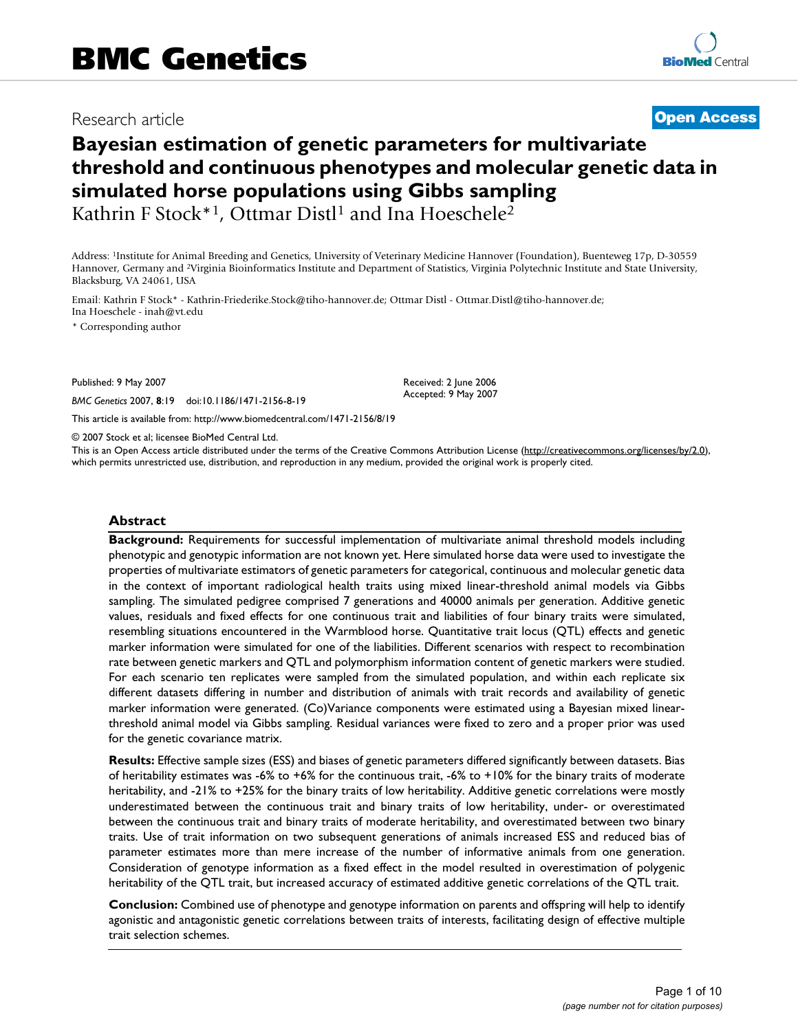# Research article **[Open Access](http://www.biomedcentral.com/info/about/charter/)**

# **Bayesian estimation of genetic parameters for multivariate threshold and continuous phenotypes and molecular genetic data in simulated horse populations using Gibbs sampling** Kathrin F Stock\*<sup>1</sup>, Ottmar Distl<sup>1</sup> and Ina Hoeschele<sup>2</sup>

Address: 1Institute for Animal Breeding and Genetics, University of Veterinary Medicine Hannover (Foundation), Buenteweg 17p, D-30559 Hannover, Germany and 2Virginia Bioinformatics Institute and Department of Statistics, Virginia Polytechnic Institute and State University, Blacksburg, VA 24061, USA

Email: Kathrin F Stock\* - Kathrin-Friederike.Stock@tiho-hannover.de; Ottmar Distl - Ottmar.Distl@tiho-hannover.de; Ina Hoeschele - inah@vt.edu

\* Corresponding author

Published: 9 May 2007

*BMC Genetics* 2007, **8**:19 doi:10.1186/1471-2156-8-19

[This article is available from: http://www.biomedcentral.com/1471-2156/8/19](http://www.biomedcentral.com/1471-2156/8/19)

© 2007 Stock et al; licensee BioMed Central Ltd.

This is an Open Access article distributed under the terms of the Creative Commons Attribution License [\(http://creativecommons.org/licenses/by/2.0\)](http://creativecommons.org/licenses/by/2.0), which permits unrestricted use, distribution, and reproduction in any medium, provided the original work is properly cited.

Received: 2 June 2006 Accepted: 9 May 2007

#### **Abstract**

**Background:** Requirements for successful implementation of multivariate animal threshold models including phenotypic and genotypic information are not known yet. Here simulated horse data were used to investigate the properties of multivariate estimators of genetic parameters for categorical, continuous and molecular genetic data in the context of important radiological health traits using mixed linear-threshold animal models via Gibbs sampling. The simulated pedigree comprised 7 generations and 40000 animals per generation. Additive genetic values, residuals and fixed effects for one continuous trait and liabilities of four binary traits were simulated, resembling situations encountered in the Warmblood horse. Quantitative trait locus (QTL) effects and genetic marker information were simulated for one of the liabilities. Different scenarios with respect to recombination rate between genetic markers and QTL and polymorphism information content of genetic markers were studied. For each scenario ten replicates were sampled from the simulated population, and within each replicate six different datasets differing in number and distribution of animals with trait records and availability of genetic marker information were generated. (Co)Variance components were estimated using a Bayesian mixed linearthreshold animal model via Gibbs sampling. Residual variances were fixed to zero and a proper prior was used for the genetic covariance matrix.

**Results:** Effective sample sizes (ESS) and biases of genetic parameters differed significantly between datasets. Bias of heritability estimates was -6% to +6% for the continuous trait, -6% to +10% for the binary traits of moderate heritability, and -21% to +25% for the binary traits of low heritability. Additive genetic correlations were mostly underestimated between the continuous trait and binary traits of low heritability, under- or overestimated between the continuous trait and binary traits of moderate heritability, and overestimated between two binary traits. Use of trait information on two subsequent generations of animals increased ESS and reduced bias of parameter estimates more than mere increase of the number of informative animals from one generation. Consideration of genotype information as a fixed effect in the model resulted in overestimation of polygenic heritability of the QTL trait, but increased accuracy of estimated additive genetic correlations of the QTL trait.

**Conclusion:** Combined use of phenotype and genotype information on parents and offspring will help to identify agonistic and antagonistic genetic correlations between traits of interests, facilitating design of effective multiple trait selection schemes.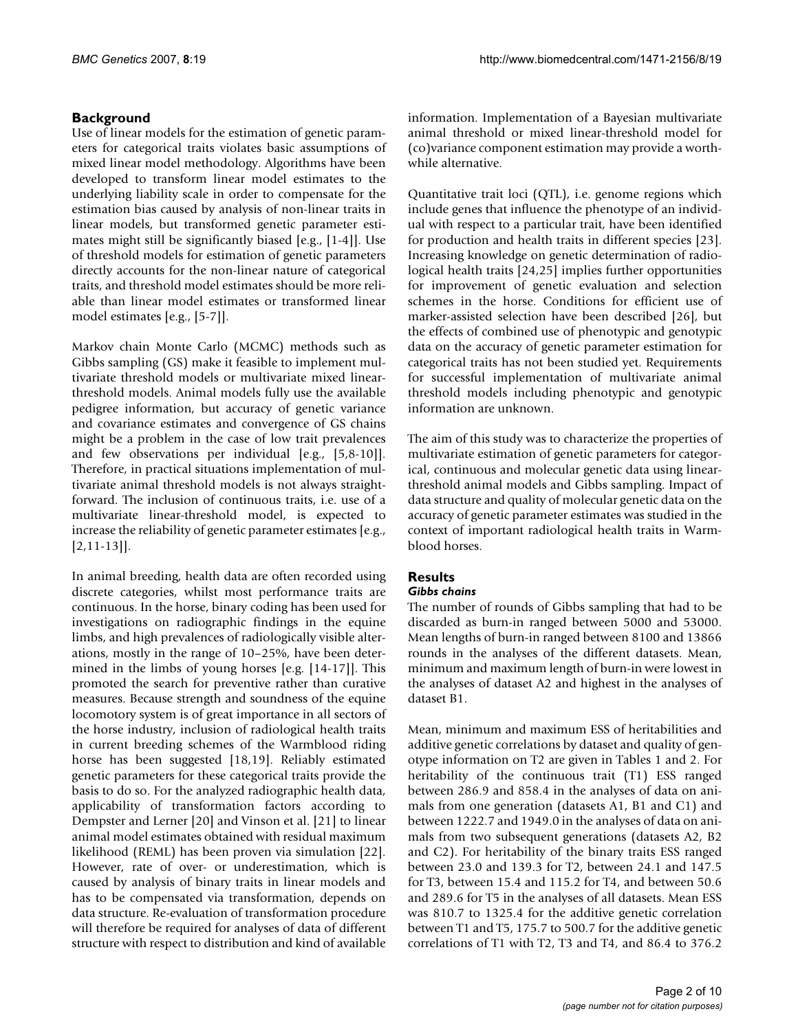# **Background**

Use of linear models for the estimation of genetic parameters for categorical traits violates basic assumptions of mixed linear model methodology. Algorithms have been developed to transform linear model estimates to the underlying liability scale in order to compensate for the estimation bias caused by analysis of non-linear traits in linear models, but transformed genetic parameter estimates might still be significantly biased [e.g., [1-4]]. Use of threshold models for estimation of genetic parameters directly accounts for the non-linear nature of categorical traits, and threshold model estimates should be more reliable than linear model estimates or transformed linear model estimates [e.g., [5-7]].

Markov chain Monte Carlo (MCMC) methods such as Gibbs sampling (GS) make it feasible to implement multivariate threshold models or multivariate mixed linearthreshold models. Animal models fully use the available pedigree information, but accuracy of genetic variance and covariance estimates and convergence of GS chains might be a problem in the case of low trait prevalences and few observations per individual [e.g., [5,8-10]]. Therefore, in practical situations implementation of multivariate animal threshold models is not always straightforward. The inclusion of continuous traits, i.e. use of a multivariate linear-threshold model, is expected to increase the reliability of genetic parameter estimates [e.g., [2,11-13]].

In animal breeding, health data are often recorded using discrete categories, whilst most performance traits are continuous. In the horse, binary coding has been used for investigations on radiographic findings in the equine limbs, and high prevalences of radiologically visible alterations, mostly in the range of 10–25%, have been determined in the limbs of young horses [e.g. [14-17]]. This promoted the search for preventive rather than curative measures. Because strength and soundness of the equine locomotory system is of great importance in all sectors of the horse industry, inclusion of radiological health traits in current breeding schemes of the Warmblood riding horse has been suggested [18,19]. Reliably estimated genetic parameters for these categorical traits provide the basis to do so. For the analyzed radiographic health data, applicability of transformation factors according to Dempster and Lerner [20] and Vinson et al. [21] to linear animal model estimates obtained with residual maximum likelihood (REML) has been proven via simulation [22]. However, rate of over- or underestimation, which is caused by analysis of binary traits in linear models and has to be compensated via transformation, depends on data structure. Re-evaluation of transformation procedure will therefore be required for analyses of data of different structure with respect to distribution and kind of available information. Implementation of a Bayesian multivariate animal threshold or mixed linear-threshold model for (co)variance component estimation may provide a worthwhile alternative.

Quantitative trait loci (QTL), i.e. genome regions which include genes that influence the phenotype of an individual with respect to a particular trait, have been identified for production and health traits in different species [23]. Increasing knowledge on genetic determination of radiological health traits [24,25] implies further opportunities for improvement of genetic evaluation and selection schemes in the horse. Conditions for efficient use of marker-assisted selection have been described [26], but the effects of combined use of phenotypic and genotypic data on the accuracy of genetic parameter estimation for categorical traits has not been studied yet. Requirements for successful implementation of multivariate animal threshold models including phenotypic and genotypic information are unknown.

The aim of this study was to characterize the properties of multivariate estimation of genetic parameters for categorical, continuous and molecular genetic data using linearthreshold animal models and Gibbs sampling. Impact of data structure and quality of molecular genetic data on the accuracy of genetic parameter estimates was studied in the context of important radiological health traits in Warmblood horses.

#### **Results** *Gibbs chains*

dataset B1.

The number of rounds of Gibbs sampling that had to be discarded as burn-in ranged between 5000 and 53000. Mean lengths of burn-in ranged between 8100 and 13866 rounds in the analyses of the different datasets. Mean, minimum and maximum length of burn-in were lowest in the analyses of dataset A2 and highest in the analyses of

Mean, minimum and maximum ESS of heritabilities and additive genetic correlations by dataset and quality of genotype information on T2 are given in Tables 1 and 2. For heritability of the continuous trait (T1) ESS ranged between 286.9 and 858.4 in the analyses of data on animals from one generation (datasets A1, B1 and C1) and between 1222.7 and 1949.0 in the analyses of data on animals from two subsequent generations (datasets A2, B2 and C2). For heritability of the binary traits ESS ranged between 23.0 and 139.3 for T2, between 24.1 and 147.5 for T3, between 15.4 and 115.2 for T4, and between 50.6 and 289.6 for T5 in the analyses of all datasets. Mean ESS was 810.7 to 1325.4 for the additive genetic correlation between T1 and T5, 175.7 to 500.7 for the additive genetic correlations of T1 with T2, T3 and T4, and 86.4 to 376.2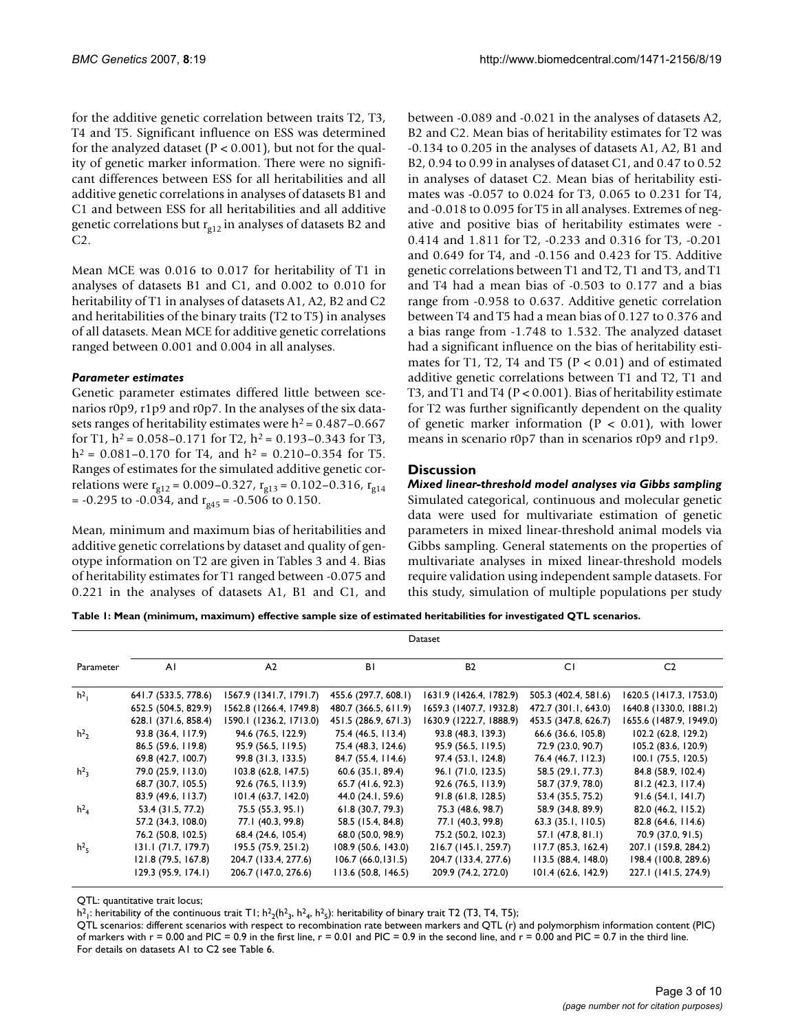for the additive genetic correlation between traits T2, T3, T4 and T5. Significant influence on ESS was determined for the analyzed dataset ( $P < 0.001$ ), but not for the quality of genetic marker information. There were no significant differences between ESS for all heritabilities and all additive genetic correlations in analyses of datasets B1 and C1 and between ESS for all heritabilities and all additive genetic correlations but  $r_{g12}$  in analyses of datasets B2 and C2.

Mean MCE was 0.016 to 0.017 for heritability of T1 in analyses of datasets B1 and C1, and 0.002 to 0.010 for heritability of T1 in analyses of datasets A1, A2, B2 and C2 and heritabilities of the binary traits (T2 to T5) in analyses of all datasets. Mean MCE for additive genetic correlations ranged between 0.001 and 0.004 in all analyses.

#### *Parameter estimates*

Genetic parameter estimates differed little between scenarios r0p9, r1p9 and r0p7. In the analyses of the six datasets ranges of heritability estimates were  $h^2 = 0.487 - 0.667$ for T1,  $h^2 = 0.058 - 0.171$  for T2,  $h^2 = 0.193 - 0.343$  for T3,  $h^2$  = 0.081-0.170 for T4, and  $h^2$  = 0.210-0.354 for T5. Ranges of estimates for the simulated additive genetic correlations were  $r_{g12} = 0.009 - 0.327$ ,  $r_{g13} = 0.102 - 0.316$ ,  $r_{g14}$ = -0.295 to -0.034, and  $r_{g45}$  = -0.506 to 0.150.

Mean, minimum and maximum bias of heritabilities and additive genetic correlations by dataset and quality of genotype information on T2 are given in Tables 3 and 4. Bias of heritability estimates for T1 ranged between -0.075 and 0.221 in the analyses of datasets A1, B1 and C1, and between -0.089 and -0.021 in the analyses of datasets A2, B2 and C2. Mean bias of heritability estimates for T2 was -0.134 to 0.205 in the analyses of datasets A1, A2, B1 and B2, 0.94 to 0.99 in analyses of dataset C1, and 0.47 to 0.52 in analyses of dataset C2. Mean bias of heritability estimates was -0.057 to 0.024 for T3, 0.065 to 0.231 for T4, and -0.018 to 0.095 for T5 in all analyses. Extremes of negative and positive bias of heritability estimates were - 0.414 and 1.811 for T2, -0.233 and 0.316 for T3, -0.201 and 0.649 for T4, and -0.156 and 0.423 for T5. Additive genetic correlations between T1 and T2, T1 and T3, and T1 and T4 had a mean bias of -0.503 to 0.177 and a bias range from -0.958 to 0.637. Additive genetic correlation between T4 and T5 had a mean bias of 0.127 to 0.376 and a bias range from -1.748 to 1.532. The analyzed dataset had a significant influence on the bias of heritability estimates for T1, T2, T4 and T5 ( $P < 0.01$ ) and of estimated additive genetic correlations between T1 and T2, T1 and T3, and T1 and T4 ( $P < 0.001$ ). Bias of heritability estimate for T2 was further significantly dependent on the quality of genetic marker information ( $P < 0.01$ ), with lower means in scenario r0p7 than in scenarios r0p9 and r1p9.

## **Discussion**

*Mixed linear-threshold model analyses via Gibbs sampling* Simulated categorical, continuous and molecular genetic data were used for multivariate estimation of genetic parameters in mixed linear-threshold animal models via Gibbs sampling. General statements on the properties of multivariate analyses in mixed linear-threshold models require validation using independent sample datasets. For this study, simulation of multiple populations per study

**Table 1: Mean (minimum, maximum) effective sample size of estimated heritabilities for investigated QTL scenarios.**

|                | Dataset              |                         |                      |                         |                      |                         |
|----------------|----------------------|-------------------------|----------------------|-------------------------|----------------------|-------------------------|
| Parameter      | AI                   | A <sub>2</sub>          | ΒI                   | <b>B2</b>               | СI                   | C <sub>2</sub>          |
| h <sup>2</sup> | 641.7 (533.5, 778.6) | 1567.9 (1341.7, 1791.7) | 455.6 (297.7, 608.1) | 1631.9 (1426.4, 1782.9) | 505.3 (402.4, 581.6) | 1620.5 (1417.3, 1753.0) |
|                | 652.5 (504.5, 829.9) | 1562.8 (1266.4, 1749.8) | 480.7 (366.5, 611.9) | 1659.3 (1407.7, 1932.8) | 472.7 (301.1, 643.0) | 1640.8 (1330.0, 1881.2) |
|                | 628.1 (371.6, 858.4) | 1590.1 (1236.2, 1713.0) | 451.5 (286.9, 671.3) | 1630.9 (1222.7, 1888.9) | 453.5 (347.8, 626.7) | 1655.6 (1487.9, 1949.0) |
| h <sup>2</sup> | 93.8 (36.4, 117.9)   | 94.6 (76.5, 122.9)      | 75.4 (46.5, 113.4)   | 93.8 (48.3, 139.3)      | 66.6 (36.6, 105.8)   | 102.2 (62.8, 129.2)     |
|                | 86.5 (59.6, 119.8)   | 95.9 (56.5, 119.5)      | 75.4 (48.3, 124.6)   | 95.9 (56.5, 119.5)      | 72.9 (23.0, 90.7)    | 105.2 (83.6, 120.9)     |
|                | 69.8 (42.7, 100.7)   | 99.8 (31.3, 133.5)      | 84.7 (55.4, 114.6)   | 97.4 (53.1, 124.8)      | 76.4 (46.7, 112.3)   | $100.1$ (75.5, 120.5)   |
| h <sup>2</sup> | 79.0 (25.9, 113.0)   | 103.8 (62.8, 147.5)     | 60.6 (35.1, 89.4)    | 96.1 (71.0, 123.5)      | 58.5 (29.1, 77.3)    | 84.8 (58.9, 102.4)      |
|                | 68.7 (30.7, 105.5)   | 92.6 (76.5, 113.9)      | 65.7 (41.6, 92.3)    | 92.6 (76.5, 113.9)      | 58.7 (37.9, 78.0)    | 81.2 (42.3, 117.4)      |
|                | 83.9 (49.6, 113.7)   | 101.4 (63.7, 142.0)     | 44.0 (24.1, 59.6)    | 91.8 (61.8, 128.5)      | 53.4 (35.5, 75.2)    | 91.6(54.1, 141.7)       |
| $h2_{4}$       | 53.4 (31.5, 77.2)    | 75.5 (55.3, 95.1)       | 61.8 (30.7, 79.3)    | 75.3 (48.6, 98.7)       | 58.9 (34.8, 89.9)    | 82.0 (46.2, 115.2)      |
|                | 57.2 (34.3, 108.0)   | 77.1 (40.3, 99.8)       | 58.5 (15.4, 84.8)    | 77.1 (40.3, 99.8)       | 63.3(35.1, 110.5)    | 82.8 (64.6, 114.6)      |
|                | 76.2 (50.8, 102.5)   | 68.4 (24.6, 105.4)      | 68.0 (50.0, 98.9)    | 75.2 (50.2, 102.3)      | 57.1 (47.8, 81.1)    | 70.9 (37.0, 91.5)       |
| $h^2$          | 131.1 (71.7, 179.7)  | 195.5 (75.9, 251.2)     | 108.9 (50.6, 143.0)  | 216.7 (145.1, 259.7)    | 117.7(85.3, 162.4)   | 207.1 (159.8, 284.2)    |
|                | 121.8 (79.5, 167.8)  | 204.7 (133.4, 277.6)    | 106.7(66.0, 131.5)   | 204.7 (133.4, 277.6)    | 113.5 (88.4, 148.0)  | 198.4 (100.8, 289.6)    |
|                | 129.3 (95.9, 174.1)  | 206.7 (147.0, 276.6)    | 113.6(50.8, 146.5)   | 209.9 (74.2, 272.0)     | 101.4 (62.6, 142.9)  | 227.1 (141.5, 274.9)    |

QTL: quantitative trait locus;

h<sup>2</sup><sub>1</sub>: heritability of the continuous trait T1; h<sup>2</sup><sub>2</sub>(h<sup>2</sup><sub>3</sub>, h<sup>2</sup><sub>4</sub>, h<sup>2</sup><sub>5</sub>): heritability of binary trait T2 (T3, T4, T5);

QTL scenarios: different scenarios with respect to recombination rate between markers and QTL (r) and polymorphism information content (PIC) of markers with  $r = 0.00$  and PIC = 0.9 in the first line,  $r = 0.01$  and PIC = 0.9 in the second line, and  $r = 0.00$  and PIC = 0.7 in the third line. For details on datasets A1 to C2 see Table 6.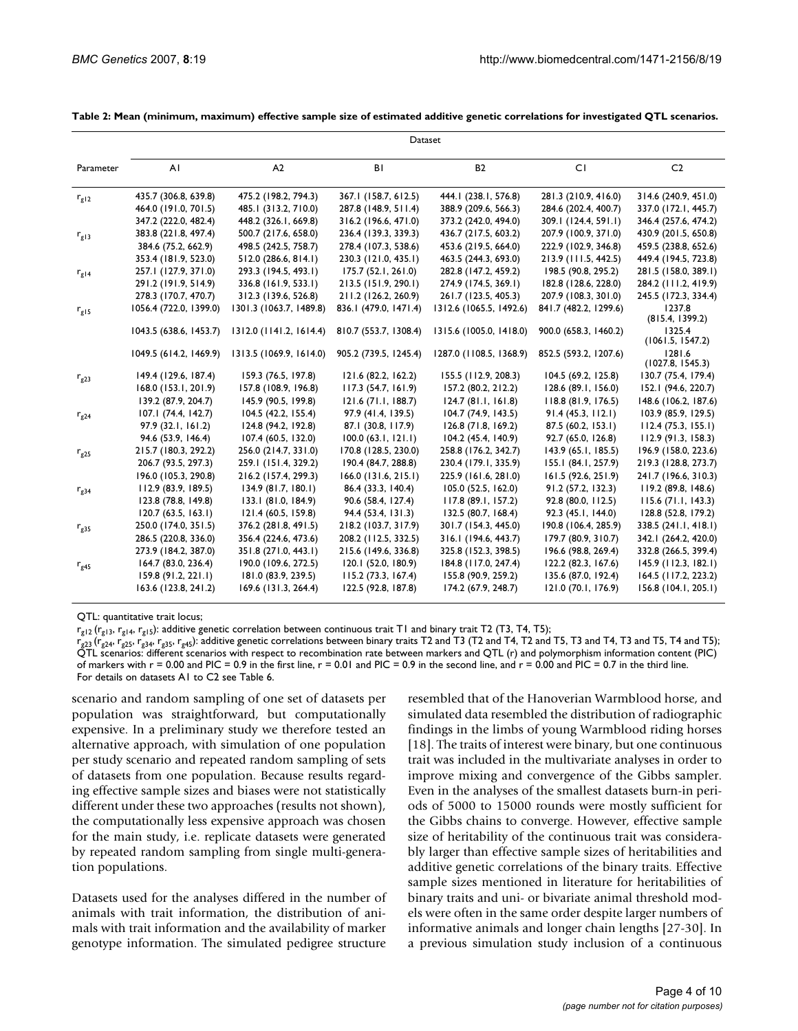|           |                        |                         | Dataset               |                         |                       |                            |
|-----------|------------------------|-------------------------|-----------------------|-------------------------|-----------------------|----------------------------|
| Parameter | AI                     | A <sub>2</sub>          | BI                    | <b>B2</b>               | CI.                   | C <sub>2</sub>             |
| $r_{g12}$ | 435.7 (306.8, 639.8)   | 475.2 (198.2, 794.3)    | 367.1 (158.7, 612.5)  | 444.1 (238.1, 576.8)    | 281.3 (210.9, 416.0)  | 314.6 (240.9, 451.0)       |
|           | 464.0 (191.0, 701.5)   | 485.1 (313.2, 710.0)    | 287.8 (148.9, 511.4)  | 388.9 (209.6, 566.3)    | 284.6 (202.4, 400.7)  | 337.0 (172.1, 445.7)       |
|           | 347.2 (222.0, 482.4)   | 448.2 (326.1, 669.8)    | 316.2 (196.6, 471.0)  | 373.2 (242.0, 494.0)    | 309.1 (124.4, 591.1)  | 346.4 (257.6, 474.2)       |
| $r_{g13}$ | 383.8 (221.8, 497.4)   | 500.7 (217.6, 658.0)    | 236.4 (139.3, 339.3)  | 436.7 (217.5, 603.2)    | 207.9 (100.9, 371.0)  | 430.9 (201.5, 650.8)       |
|           | 384.6 (75.2, 662.9)    | 498.5 (242.5, 758.7)    | 278.4 (107.3, 538.6)  | 453.6 (219.5, 664.0)    | 222.9 (102.9, 346.8)  | 459.5 (238.8, 652.6)       |
|           | 353.4 (181.9, 523.0)   | 512.0 (286.6, 814.1)    | 230.3 (121.0, 435.1)  | 463.5 (244.3, 693.0)    | 213.9 (111.5, 442.5)  | 449.4 (194.5, 723.8)       |
| $r_{g14}$ | 257.1 (127.9, 371.0)   | 293.3 (194.5, 493.1)    | 175.7 (52.1, 261.0)   | 282.8 (147.2, 459.2)    | 198.5 (90.8, 295.2)   | 281.5 (158.0, 389.1)       |
|           | 291.2 (191.9, 514.9)   | 336.8 (161.9, 533.1)    | 213.5 (151.9, 290.1)  | 274.9 (174.5, 369.1)    | 182.8 (128.6, 228.0)  | 284.2 (111.2, 419.9)       |
|           | 278.3 (170.7, 470.7)   | 312.3 (139.6, 526.8)    | 211.2 (126.2, 260.9)  | 261.7 (123.5, 405.3)    | 207.9 (108.3, 301.0)  | 245.5 (172.3, 334.4)       |
| $r_{g15}$ | 1056.4 (722.0, 1399.0) | 1301.3 (1063.7, 1489.8) | 836.1 (479.0, 1471.4) | 1312.6 (1065.5, 1492.6) | 841.7 (482.2, 1299.6) | 1237.8<br>(815.4, 1399.2)  |
|           | 1043.5 (638.6, 1453.7) | 1312.0 (1141.2, 1614.4) | 810.7 (553.7, 1308.4) | 1315.6 (1005.0, 1418.0) | 900.0 (658.3, 1460.2) | 1325.4<br>(1061.5, 1547.2) |
|           | 1049.5 (614.2, 1469.9) | 1313.5 (1069.9, 1614.0) | 905.2 (739.5, 1245.4) | 1287.0 (1108.5, 1368.9) | 852.5 (593.2, 1207.6) | 1281.6<br>(1027.8, 1545.3) |
| $r_{g23}$ | 149.4 (129.6, 187.4)   | 159.3 (76.5, 197.8)     | 121.6 (82.2, 162.2)   | 155.5 (112.9, 208.3)    | 104.5 (69.2, 125.8)   | 130.7 (75.4, 179.4)        |
|           | 168.0 (153.1, 201.9)   | 157.8 (108.9, 196.8)    | 117.3(54.7, 161.9)    | 157.2 (80.2, 212.2)     | 128.6 (89.1, 156.0)   | 152.1 (94.6, 220.7)        |
|           | 139.2 (87.9, 204.7)    | 145.9 (90.5, 199.8)     | 121.6 (71.1, 188.7)   | 124.7(81.1, 161.8)      | 118.8 (81.9, 176.5)   | 148.6 (106.2, 187.6)       |
| $r_{g24}$ | 107.1 (74.4, 142.7)    | 104.5 (42.2, 155.4)     | 97.9 (41.4, 139.5)    | 104.7 (74.9, 143.5)     | 91.4(45.3, 112.1)     | 103.9 (85.9, 129.5)        |
|           | 97.9 (32.1, 161.2)     | 124.8 (94.2, 192.8)     | 87.1 (30.8, 117.9)    | 126.8 (71.8, 169.2)     | 87.5 (60.2, 153.1)    | 112.4(75.3, 155.1)         |
|           | 94.6 (53.9, 146.4)     | 107.4 (60.5, 132.0)     | 100.0 (63.1, 121.1)   | 104.2 (45.4, 140.9)     | 92.7 (65.0, 126.8)    | 112.9(91.3, 158.3)         |
| $r_{g25}$ | 215.7 (180.3, 292.2)   | 256.0 (214.7, 331.0)    | 170.8 (128.5, 230.0)  | 258.8 (176.2, 342.7)    | 143.9 (65.1, 185.5)   | 196.9 (158.0, 223.6)       |
|           | 206.7 (93.5, 297.3)    | 259.1 (151.4, 329.2)    | 190.4 (84.7, 288.8)   | 230.4 (179.1, 335.9)    | 155.1 (84.1, 257.9)   | 219.3 (128.8, 273.7)       |
|           | 196.0 (105.3, 290.8)   | 216.2 (157.4, 299.3)    | 166.0 (131.6, 215.1)  | 225.9 (161.6, 281.0)    | 161.5 (92.6, 251.9)   | 241.7 (196.6, 310.3)       |
| $r_{g34}$ | 112.9 (83.9, 189.5)    | 134.9(81.7, 180.1)      | 86.4 (33.3, 140.4)    | 105.0 (52.5, 162.0)     | 91.2 (57.2, 132.3)    | 119.2 (89.8, 148.6)        |
|           | 123.8 (78.8, 149.8)    | 133.1 (81.0, 184.9)     | 90.6 (58.4, 127.4)    | 117.8 (89.1, 157.2)     | 92.8 (80.0, 112.5)    | 115.6 (71.1, 143.3)        |
|           | 120.7(63.5, 163.1)     | 121.4 (60.5, 159.8)     | 94.4 (53.4, 131.3)    | 132.5 (80.7, 168.4)     | 92.3 (45.1, 144.0)    | 128.8 (52.8, 179.2)        |
| $r_{g35}$ | 250.0 (174.0, 351.5)   | 376.2 (281.8, 491.5)    | 218.2 (103.7, 317.9)  | 301.7 (154.3, 445.0)    | 190.8 (106.4, 285.9)  | 338.5 (241.1, 418.1)       |
|           | 286.5 (220.8, 336.0)   | 356.4 (224.6, 473.6)    | 208.2 (112.5, 332.5)  | 316.1 (194.6, 443.7)    | 179.7 (80.9, 310.7)   | 342.1 (264.2, 420.0)       |
|           | 273.9 (184.2, 387.0)   | 351.8 (271.0, 443.1)    | 215.6 (149.6, 336.8)  | 325.8 (152.3, 398.5)    | 196.6 (98.8, 269.4)   | 332.8 (266.5, 399.4)       |
| $r_{g45}$ | 164.7 (83.0, 236.4)    | 190.0 (109.6, 272.5)    | 120.1 (52.0, 180.9)   | 184.8 (117.0, 247.4)    | 122.2 (82.3, 167.6)   | $145.9$ (112.3, 182.1)     |
|           | 159.8(91.2, 221.1)     | 181.0 (83.9, 239.5)     | 115.2 (73.3, 167.4)   | 155.8 (90.9, 259.2)     | 135.6 (87.0, 192.4)   | 164.5 (117.2, 223.2)       |
|           | 163.6 (123.8, 241.2)   | 169.6 (131.3, 264.4)    | 122.5 (92.8, 187.8)   | 174.2 (67.9, 248.7)     | 121.0 (70.1, 176.9)   | 156.8 (104.1, 205.1)       |

#### **Table 2: Mean (minimum, maximum) effective sample size of estimated additive genetic correlations for investigated QTL scenarios.**

QTL: quantitative trait locus;

 $r_{g12}$  ( $r_{g13}$ ,  $r_{g14}$ ,  $r_{g15}$ ): additive genetic correlation between continuous trait T1 and binary trait T2 (T3, T4, T5);

r $_{\rm g23}^{\rm v}$  (r $_{\rm g24}^{\rm v}$ , r $_{\rm g34}^{\rm v}$ , r<sub>g45</sub>): additive genetic correlations between binary traits T2 and T3 (T2 and T4, T2 and T5, T3 and T4, T3 and T5, T4 and T5);<br>QTL scenarios: different scenarios with res of markers with  $r = 0.00$  and PIC = 0.9 in the first line,  $r = 0.01$  and PIC = 0.9 in the second line, and  $r = 0.00$  and PIC = 0.7 in the third line. For details on datasets A1 to C2 see Table 6.

scenario and random sampling of one set of datasets per population was straightforward, but computationally expensive. In a preliminary study we therefore tested an alternative approach, with simulation of one population per study scenario and repeated random sampling of sets of datasets from one population. Because results regarding effective sample sizes and biases were not statistically different under these two approaches (results not shown), the computationally less expensive approach was chosen for the main study, i.e. replicate datasets were generated by repeated random sampling from single multi-generation populations.

Datasets used for the analyses differed in the number of animals with trait information, the distribution of animals with trait information and the availability of marker genotype information. The simulated pedigree structure resembled that of the Hanoverian Warmblood horse, and simulated data resembled the distribution of radiographic findings in the limbs of young Warmblood riding horses [18]. The traits of interest were binary, but one continuous trait was included in the multivariate analyses in order to improve mixing and convergence of the Gibbs sampler. Even in the analyses of the smallest datasets burn-in periods of 5000 to 15000 rounds were mostly sufficient for the Gibbs chains to converge. However, effective sample size of heritability of the continuous trait was considerably larger than effective sample sizes of heritabilities and additive genetic correlations of the binary traits. Effective sample sizes mentioned in literature for heritabilities of binary traits and uni- or bivariate animal threshold models were often in the same order despite larger numbers of informative animals and longer chain lengths [27-30]. In a previous simulation study inclusion of a continuous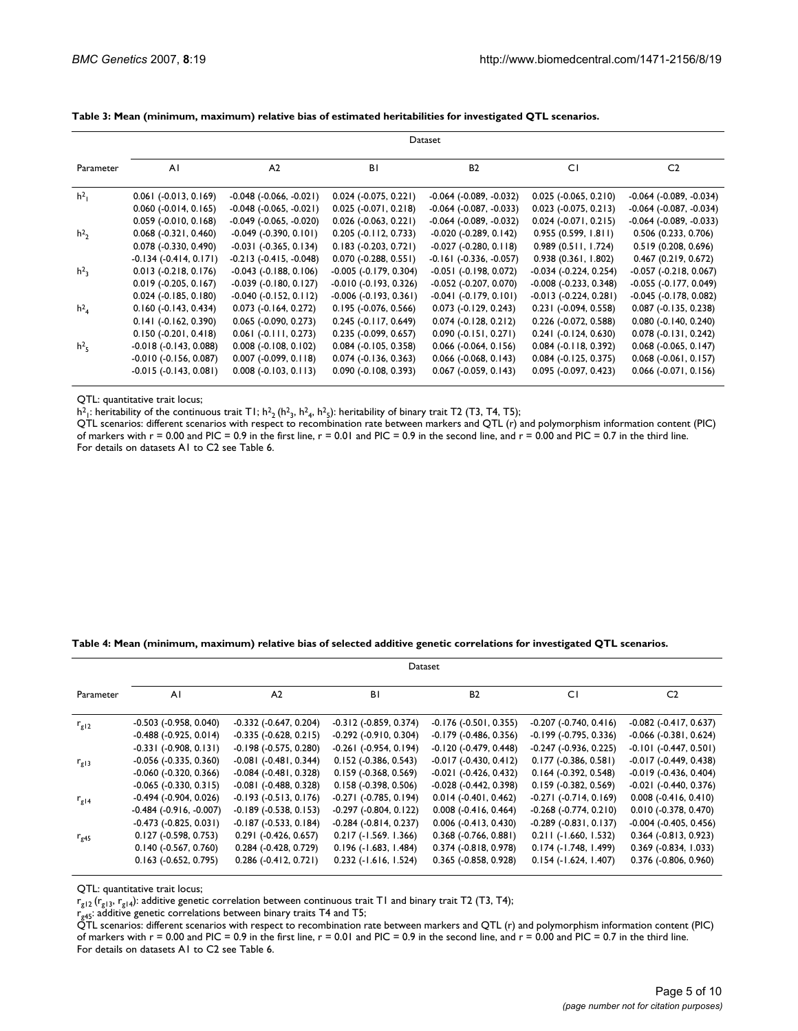|                | Dataset                        |                                  |                                 |                                  |                            |                                  |  |
|----------------|--------------------------------|----------------------------------|---------------------------------|----------------------------------|----------------------------|----------------------------------|--|
| Parameter      | AI                             | A <sub>2</sub>                   | BI                              | <b>B2</b>                        | C <sub>1</sub>             | C <sub>2</sub>                   |  |
| h <sup>2</sup> | $0.061$ ( $-0.013$ , $0.169$ ) | $-0.048$ ( $-0.066$ , $-0.021$ ) | $0.024$ (-0.075, 0.221)         | $-0.064$ ( $-0.089$ , $-0.032$ ) | $0.025$ (-0.065, 0.210)    | $-0.064$ ( $-0.089$ , $-0.034$ ) |  |
|                | $0.060$ (-0.014, 0.165)        | $-0.048$ ( $-0.065$ , $-0.021$ ) | $0.025$ (-0.071, 0.218)         | $-0.064$ ( $-0.087$ , $-0.033$ ) | $0.023$ (-0.075, 0.213)    | -0.064 (-0.087, -0.034)          |  |
|                | $0.059$ (-0.010, 0.168)        | $-0.049$ ( $-0.065$ , $-0.020$ ) | $0.026$ (-0.063, 0.221)         | $-0.064$ ( $-0.089$ , $-0.032$ ) | $0.024$ (-0.071, 0.215)    | $-0.064$ ( $-0.089$ , $-0.033$ ) |  |
| h <sup>2</sup> | $0.068$ (-0.321, 0.460)        | $-0.049$ $(-0.390, 0.101)$       | $0.205$ (-0.112, 0.733)         | $-0.020$ $(-0.289, 0.142)$       | 0.955(0.599, 1.811)        | 0.506 (0.233, 0.706)             |  |
|                | $0.078$ (-0.330, 0.490)        | $-0.031$ ( $-0.365$ , $0.134$ )  | $0.183$ ( $-0.203$ , $0.721$ )  | $-0.027$ ( $-0.280$ , $0.118$ )  | 0.989(0.511, 1.724)        | 0.519(0.208, 0.696)              |  |
|                | $-0.134(-0.414, 0.171)$        | $-0.213$ $(-0.415, -0.048)$      | $0.070$ (-0.288, 0.551)         | $-0.161$ $(-0.336, -0.057)$      | 0.938(0.361, 1.802)        | 0.467(0.219, 0.672)              |  |
| $h^2$          | $0.013$ (-0.218, 0.176)        | $-0.043$ $(-0.188, 0.106)$       | $-0.005$ ( $-0.179$ , $0.304$ ) | $-0.051$ ( $-0.198$ , $0.072$ )  | -0.034 (-0.224, 0.254)     | $-0.057$ $(-0.218, 0.067)$       |  |
|                | $0.019$ (-0.205, 0.167)        | $-0.039$ $(-0.180, 0.127)$       | $-0.010(-0.193, 0.326)$         | $-0.052$ ( $-0.207$ , $0.070$ )  | $-0.008$ $(-0.233, 0.348)$ | $-0.055$ $(-0.177, 0.049)$       |  |
|                | $0.024$ (-0.185, 0.180)        | $-0.040$ $(-0.152, 0.112)$       | $-0.006$ $(-0.193, 0.361)$      | $-0.041$ ( $-0.179$ , $0.101$ )  | $-0.013$ $(-0.224, 0.281)$ | $-0.045$ ( $-0.178$ , $0.082$ )  |  |
| $h2_{4}$       | $0.160(-0.143, 0.434)$         | $0.073$ (-0.164, 0.272)          | $0.195$ (-0.076, 0.566)         | $0.073$ (-0.129, 0.243)          | $0.231$ (-0.094, 0.558)    | $0.087$ (-0.135, 0.238)          |  |
|                | $0.141$ (-0.162, 0.390)        | $0.065$ (-0.090, 0.273)          | $0.245$ (-0.117, 0.649)         | $0.074$ (-0.128, 0.212)          | 0.226 (-0.072, 0.588)      | $0.080$ (-0.140, 0.240)          |  |
|                | $0.150(-0.201, 0.418)$         | $0.061$ (-0.111, 0.273)          | 0.235 (-0.099, 0.657)           | $0.090 (-0.151, 0.271)$          | $0.241$ (-0.124, 0.630)    | $0.078$ (-0.131, 0.242)          |  |
| $h^2$          | $-0.018$ $(-0.143, 0.088)$     | $0.008$ (-0.108, 0.102)          | $0.084$ (-0.105, 0.358)         | $0.066$ (-0.064, 0.156)          | $0.084$ (-0.118, 0.392)    | $0.068$ (-0.065, 0.147)          |  |
|                | $-0.010$ $(-0.156, 0.087)$     | $0.007$ (-0.099, 0.118)          | $0.074$ (-0.136, 0.363)         | $0.066$ ( $-0.068$ , $0.143$ )   | $0.084$ (-0.125, 0.375)    | $0.068$ (-0.061, 0.157)          |  |
|                | $-0.015(-0.143, 0.081)$        | $0.008 (-0.103, 0.113)$          | $0.090$ (-0.108, 0.393)         | $0.067$ (-0.059, 0.143)          | $0.095$ (-0.097, 0.423)    | $0.066$ ( $-0.071$ , $0.156$ )   |  |

|  |  | Table 3: Mean (minimum, maximum) relative bias of estimated heritabilities for investigated QTL scenarios. |
|--|--|------------------------------------------------------------------------------------------------------------|
|--|--|------------------------------------------------------------------------------------------------------------|

QTL: quantitative trait locus;

h<sup>2</sup><sub>1</sub>: heritability of the continuous trait T1; h<sup>2</sup><sub>2</sub>(h<sup>2</sup><sub>3</sub>, h<sup>2</sup><sub>4</sub>, h<sup>2</sup><sub>5</sub>): heritability of binary trait T2 (T3, T4, T5);

QTL scenarios: different scenarios with respect to recombination rate between markers and QTL (r) and polymorphism information content (PIC) of markers with  $r = 0.00$  and PIC = 0.9 in the first line,  $r = 0.01$  and PIC = 0.9 in the second line, and  $r = 0.00$  and PIC = 0.7 in the third line. For details on datasets A1 to C2 see Table 6.

**Table 4: Mean (minimum, maximum) relative bias of selected additive genetic correlations for investigated QTL scenarios.**

|                                                  | Dataset                                                                                                                                                                                                                                                                                                                                               |                                                                                                                                                                                                                                                                                                                                               |                                                                                                                                                                                                                                                                                                                                |                                                                                                                                                                                                                                                                                                                                               |                                                                                                                                                                                                                                                                                                                   |                                                                                                                                                                                                                                                                                                                                                    |
|--------------------------------------------------|-------------------------------------------------------------------------------------------------------------------------------------------------------------------------------------------------------------------------------------------------------------------------------------------------------------------------------------------------------|-----------------------------------------------------------------------------------------------------------------------------------------------------------------------------------------------------------------------------------------------------------------------------------------------------------------------------------------------|--------------------------------------------------------------------------------------------------------------------------------------------------------------------------------------------------------------------------------------------------------------------------------------------------------------------------------|-----------------------------------------------------------------------------------------------------------------------------------------------------------------------------------------------------------------------------------------------------------------------------------------------------------------------------------------------|-------------------------------------------------------------------------------------------------------------------------------------------------------------------------------------------------------------------------------------------------------------------------------------------------------------------|----------------------------------------------------------------------------------------------------------------------------------------------------------------------------------------------------------------------------------------------------------------------------------------------------------------------------------------------------|
| Parameter                                        | ΑI                                                                                                                                                                                                                                                                                                                                                    | A <sub>2</sub>                                                                                                                                                                                                                                                                                                                                | ΒI                                                                                                                                                                                                                                                                                                                             | <b>B2</b>                                                                                                                                                                                                                                                                                                                                     | CI                                                                                                                                                                                                                                                                                                                | C <sub>2</sub>                                                                                                                                                                                                                                                                                                                                     |
| $r_{g12}$<br>$r_{g13}$<br>$r_{gl4}$<br>$r_{g45}$ | $-0.503$ $(-0.958, 0.040)$<br>$-0.488$ $(-0.925, 0.014)$<br>$-0.331$ $(-0.908, 0.131)$<br>$-0.056$ ( $-0.335$ , $0.360$ )<br>$-0.060$ ( $-0.320$ , $0.366$ )<br>$-0.065$ ( $-0.330$ , $0.315$ )<br>$-0.494$ ( $-0.904$ , $0.026$ )<br>$-0.484$ $(-0.916, -0.007)$<br>$-0.473$ $(-0.825, 0.031)$<br>$0.127$ (-0.598, 0.753)<br>$0.140$ (-0.567, 0.760) | $-0.332$ $(-0.647, 0.204)$<br>$-0.335$ $(-0.628, 0.215)$<br>$-0.198$ $(-0.575, 0.280)$<br>$-0.081$ $(-0.481, 0.344)$<br>$-0.084$ ( $-0.481$ , $0.328$ )<br>$-0.081$ ( $-0.488$ , $0.328$ )<br>$-0.193 (-0.513, 0.176)$<br>$-0.189$ ( $-0.538$ , $0.153$ )<br>$-0.187$ $(-0.533, 0.184)$<br>$0.291$ (-0.426, 0.657)<br>$0.284$ (-0.428, 0.729) | $-0.312$ ( $-0.859$ , $0.374$ )<br>$-0.292$ $(-0.910, 0.304)$<br>$-0.261$ ( $-0.954$ , $0.194$ )<br>$0.152$ (-0.386, 0.543)<br>$0.159$ (-0.368, 0.569)<br>$0.158(-0.398, 0.506)$<br>$-0.271$ $(-0.785, 0.194)$<br>$-0.297$ $(-0.804, 0.122)$<br>$-0.284$ $(-0.814, 0.237)$<br>$0.217$ (-1.569. 1.366)<br>0.196 (-1.683, 1.484) | $-0.176$ ( $-0.501$ , $0.355$ )<br>$-0.179$ ( $-0.486$ , $0.356$ )<br>$-0.120$ $(-0.479, 0.448)$<br>$-0.017$ ( $-0.430$ , $0.412$ )<br>$-0.021$ $(-0.426, 0.432)$<br>$-0.028$ $(-0.442, 0.398)$<br>$0.014$ (-0.401, 0.462)<br>$0.008$ ( $-0.416$ , $0.464$ )<br>$0.006$ (-0.413, 0.430)<br>$0.368$ (-0.766, 0.881)<br>$0.374$ (-0.818, 0.978) | $-0.207$ $(-0.740, 0.416)$<br>-0.199 (-0.795, 0.336)<br>$-0.247$ $(-0.936, 0.225)$<br>$0.177$ (-0.386, 0.581)<br>$0.164$ (-0.392, 0.548)<br>$0.159$ (-0.382, 0.569)<br>$-0.271$ $(-0.714, 0.169)$<br>$-0.268$ $(-0.774, 0.210)$<br>$-0.289$ $(-0.831, 0.137)$<br>$0.211$ (-1.660, 1.532)<br>0.174 (-1.748, 1.499) | $-0.082$ $(-0.417, 0.637)$<br>$-0.066$ $(-0.381, 0.624)$<br>$-0.101$ $(-0.447, 0.501)$<br>$-0.017$ ( $-0.449$ , $0.438$ )<br>$-0.019$ ( $-0.436$ , $0.404$ )<br>$-0.021$ $(-0.440, 0.376)$<br>$0.008$ ( $-0.416$ , $0.410$ )<br>$0.010 (-0.378, 0.470)$<br>$-0.004$ $(-0.405, 0.456)$<br>$0.364$ (-0.813, 0.923)<br>$0.369$ ( $-0.834$ , $1.033$ ) |
|                                                  | $0.163$ (-0.652, 0.795)                                                                                                                                                                                                                                                                                                                               | $0.286$ (-0.412, 0.721)                                                                                                                                                                                                                                                                                                                       | $0.232$ (-1.616, 1.524)                                                                                                                                                                                                                                                                                                        | 0.365 (-0.858, 0.928)                                                                                                                                                                                                                                                                                                                         | $0.154$ (-1.624, 1.407)                                                                                                                                                                                                                                                                                           | 0.376 (-0.806, 0.960)                                                                                                                                                                                                                                                                                                                              |

QTL: quantitative trait locus;

 $r_{g12}$  ( $r_{g13}$ ,  $r_{g14}$ ): additive genetic correlation between continuous trait T1 and binary trait T2 (T3, T4);

r<sub>g45</sub>: additive genetic correlations between binary traits T4 and T5;<br>QTL scenarios: different scenarios with respect to recombination rate between markers and QTL (r) and polymorphism information content (PIC) of markers with  $r = 0.00$  and PIC = 0.9 in the first line,  $r = 0.01$  and PIC = 0.9 in the second line, and  $r = 0.00$  and PIC = 0.7 in the third line. For details on datasets A1 to C2 see Table 6.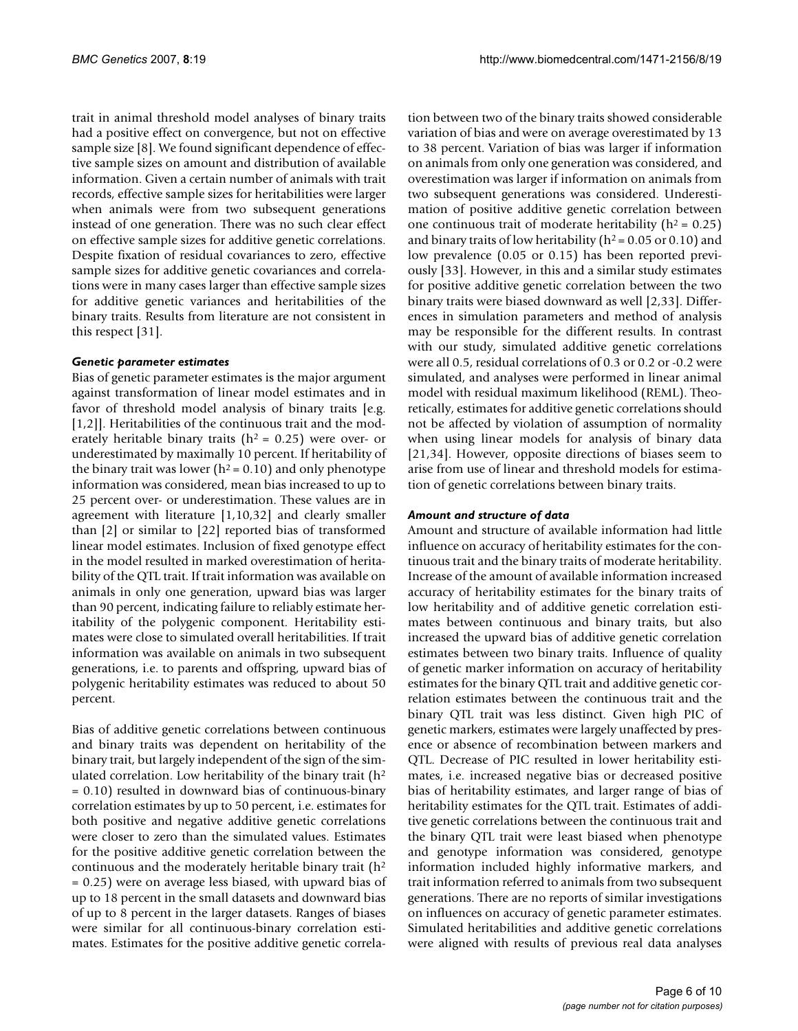trait in animal threshold model analyses of binary traits had a positive effect on convergence, but not on effective sample size [8]. We found significant dependence of effective sample sizes on amount and distribution of available information. Given a certain number of animals with trait records, effective sample sizes for heritabilities were larger when animals were from two subsequent generations instead of one generation. There was no such clear effect on effective sample sizes for additive genetic correlations. Despite fixation of residual covariances to zero, effective sample sizes for additive genetic covariances and correlations were in many cases larger than effective sample sizes for additive genetic variances and heritabilities of the binary traits. Results from literature are not consistent in this respect [31].

#### *Genetic parameter estimates*

Bias of genetic parameter estimates is the major argument against transformation of linear model estimates and in favor of threshold model analysis of binary traits [e.g. [1,2]]. Heritabilities of the continuous trait and the moderately heritable binary traits ( $h^2 = 0.25$ ) were over- or underestimated by maximally 10 percent. If heritability of the binary trait was lower ( $h^2$  = 0.10) and only phenotype information was considered, mean bias increased to up to 25 percent over- or underestimation. These values are in agreement with literature [1,10,32] and clearly smaller than [2] or similar to [22] reported bias of transformed linear model estimates. Inclusion of fixed genotype effect in the model resulted in marked overestimation of heritability of the QTL trait. If trait information was available on animals in only one generation, upward bias was larger than 90 percent, indicating failure to reliably estimate heritability of the polygenic component. Heritability estimates were close to simulated overall heritabilities. If trait information was available on animals in two subsequent generations, i.e. to parents and offspring, upward bias of polygenic heritability estimates was reduced to about 50 percent.

Bias of additive genetic correlations between continuous and binary traits was dependent on heritability of the binary trait, but largely independent of the sign of the simulated correlation. Low heritability of the binary trait  $(h^2)$ = 0.10) resulted in downward bias of continuous-binary correlation estimates by up to 50 percent, i.e. estimates for both positive and negative additive genetic correlations were closer to zero than the simulated values. Estimates for the positive additive genetic correlation between the continuous and the moderately heritable binary trait (h<sup>2</sup> = 0.25) were on average less biased, with upward bias of up to 18 percent in the small datasets and downward bias of up to 8 percent in the larger datasets. Ranges of biases were similar for all continuous-binary correlation estimates. Estimates for the positive additive genetic correlation between two of the binary traits showed considerable variation of bias and were on average overestimated by 13 to 38 percent. Variation of bias was larger if information on animals from only one generation was considered, and overestimation was larger if information on animals from two subsequent generations was considered. Underestimation of positive additive genetic correlation between one continuous trait of moderate heritability ( $h^2 = 0.25$ ) and binary traits of low heritability ( $h^2$  = 0.05 or 0.10) and low prevalence (0.05 or 0.15) has been reported previously [33]. However, in this and a similar study estimates for positive additive genetic correlation between the two binary traits were biased downward as well [2,33]. Differences in simulation parameters and method of analysis may be responsible for the different results. In contrast with our study, simulated additive genetic correlations were all 0.5, residual correlations of 0.3 or 0.2 or -0.2 were simulated, and analyses were performed in linear animal model with residual maximum likelihood (REML). Theoretically, estimates for additive genetic correlations should not be affected by violation of assumption of normality when using linear models for analysis of binary data [21,34]. However, opposite directions of biases seem to arise from use of linear and threshold models for estimation of genetic correlations between binary traits.

#### *Amount and structure of data*

Amount and structure of available information had little influence on accuracy of heritability estimates for the continuous trait and the binary traits of moderate heritability. Increase of the amount of available information increased accuracy of heritability estimates for the binary traits of low heritability and of additive genetic correlation estimates between continuous and binary traits, but also increased the upward bias of additive genetic correlation estimates between two binary traits. Influence of quality of genetic marker information on accuracy of heritability estimates for the binary QTL trait and additive genetic correlation estimates between the continuous trait and the binary QTL trait was less distinct. Given high PIC of genetic markers, estimates were largely unaffected by presence or absence of recombination between markers and QTL. Decrease of PIC resulted in lower heritability estimates, i.e. increased negative bias or decreased positive bias of heritability estimates, and larger range of bias of heritability estimates for the QTL trait. Estimates of additive genetic correlations between the continuous trait and the binary QTL trait were least biased when phenotype and genotype information was considered, genotype information included highly informative markers, and trait information referred to animals from two subsequent generations. There are no reports of similar investigations on influences on accuracy of genetic parameter estimates. Simulated heritabilities and additive genetic correlations were aligned with results of previous real data analyses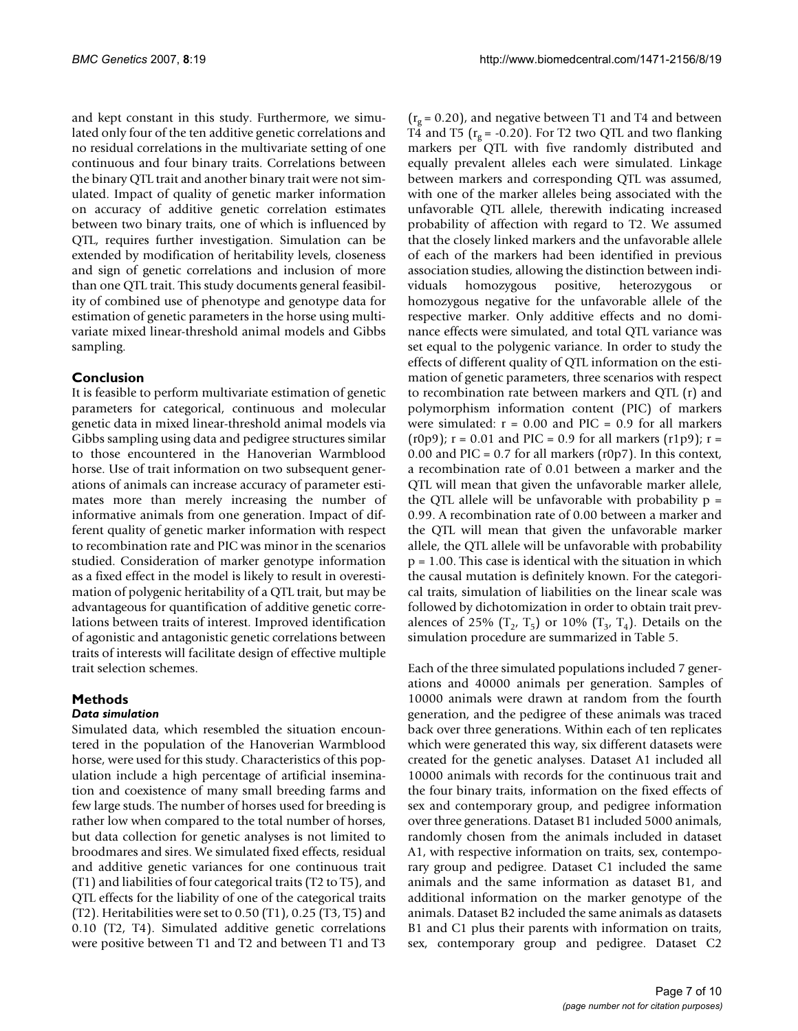and kept constant in this study. Furthermore, we simulated only four of the ten additive genetic correlations and no residual correlations in the multivariate setting of one continuous and four binary traits. Correlations between the binary QTL trait and another binary trait were not simulated. Impact of quality of genetic marker information on accuracy of additive genetic correlation estimates between two binary traits, one of which is influenced by QTL, requires further investigation. Simulation can be extended by modification of heritability levels, closeness and sign of genetic correlations and inclusion of more than one QTL trait. This study documents general feasibility of combined use of phenotype and genotype data for estimation of genetic parameters in the horse using multivariate mixed linear-threshold animal models and Gibbs sampling.

# **Conclusion**

It is feasible to perform multivariate estimation of genetic parameters for categorical, continuous and molecular genetic data in mixed linear-threshold animal models via Gibbs sampling using data and pedigree structures similar to those encountered in the Hanoverian Warmblood horse. Use of trait information on two subsequent generations of animals can increase accuracy of parameter estimates more than merely increasing the number of informative animals from one generation. Impact of different quality of genetic marker information with respect to recombination rate and PIC was minor in the scenarios studied. Consideration of marker genotype information as a fixed effect in the model is likely to result in overestimation of polygenic heritability of a QTL trait, but may be advantageous for quantification of additive genetic correlations between traits of interest. Improved identification of agonistic and antagonistic genetic correlations between traits of interests will facilitate design of effective multiple trait selection schemes.

# **Methods**

### *Data simulation*

Simulated data, which resembled the situation encountered in the population of the Hanoverian Warmblood horse, were used for this study. Characteristics of this population include a high percentage of artificial insemination and coexistence of many small breeding farms and few large studs. The number of horses used for breeding is rather low when compared to the total number of horses, but data collection for genetic analyses is not limited to broodmares and sires. We simulated fixed effects, residual and additive genetic variances for one continuous trait (T1) and liabilities of four categorical traits (T2 to T5), and QTL effects for the liability of one of the categorical traits  $(T2)$ . Heritabilities were set to 0.50  $(T1)$ , 0.25  $(T3, T5)$  and 0.10 (T2, T4). Simulated additive genetic correlations were positive between T1 and T2 and between T1 and T3

 $(r<sub>g</sub> = 0.20)$ , and negative between T1 and T4 and between T4 and T5 ( $r_g$  = -0.20). For T2 two QTL and two flanking markers per QTL with five randomly distributed and equally prevalent alleles each were simulated. Linkage between markers and corresponding QTL was assumed, with one of the marker alleles being associated with the unfavorable QTL allele, therewith indicating increased probability of affection with regard to T2. We assumed that the closely linked markers and the unfavorable allele of each of the markers had been identified in previous association studies, allowing the distinction between individuals homozygous positive, heterozygous or homozygous negative for the unfavorable allele of the respective marker. Only additive effects and no dominance effects were simulated, and total QTL variance was set equal to the polygenic variance. In order to study the effects of different quality of QTL information on the estimation of genetic parameters, three scenarios with respect to recombination rate between markers and QTL (r) and polymorphism information content (PIC) of markers were simulated:  $r = 0.00$  and PIC = 0.9 for all markers  $(0.000)$ ; r = 0.01 and PIC = 0.9 for all markers  $(0.009)$ ; r = 0.00 and PIC =  $0.7$  for all markers (r0p7). In this context, a recombination rate of 0.01 between a marker and the QTL will mean that given the unfavorable marker allele, the QTL allele will be unfavorable with probability  $p =$ 0.99. A recombination rate of 0.00 between a marker and the QTL will mean that given the unfavorable marker allele, the QTL allele will be unfavorable with probability p = 1.00. This case is identical with the situation in which the causal mutation is definitely known. For the categorical traits, simulation of liabilities on the linear scale was followed by dichotomization in order to obtain trait prevalences of 25%  $(T_2, T_5)$  or 10%  $(T_3, T_4)$ . Details on the simulation procedure are summarized in Table 5.

Each of the three simulated populations included 7 generations and 40000 animals per generation. Samples of 10000 animals were drawn at random from the fourth generation, and the pedigree of these animals was traced back over three generations. Within each of ten replicates which were generated this way, six different datasets were created for the genetic analyses. Dataset A1 included all 10000 animals with records for the continuous trait and the four binary traits, information on the fixed effects of sex and contemporary group, and pedigree information over three generations. Dataset B1 included 5000 animals, randomly chosen from the animals included in dataset A1, with respective information on traits, sex, contemporary group and pedigree. Dataset C1 included the same animals and the same information as dataset B1, and additional information on the marker genotype of the animals. Dataset B2 included the same animals as datasets B1 and C1 plus their parents with information on traits, sex, contemporary group and pedigree. Dataset C2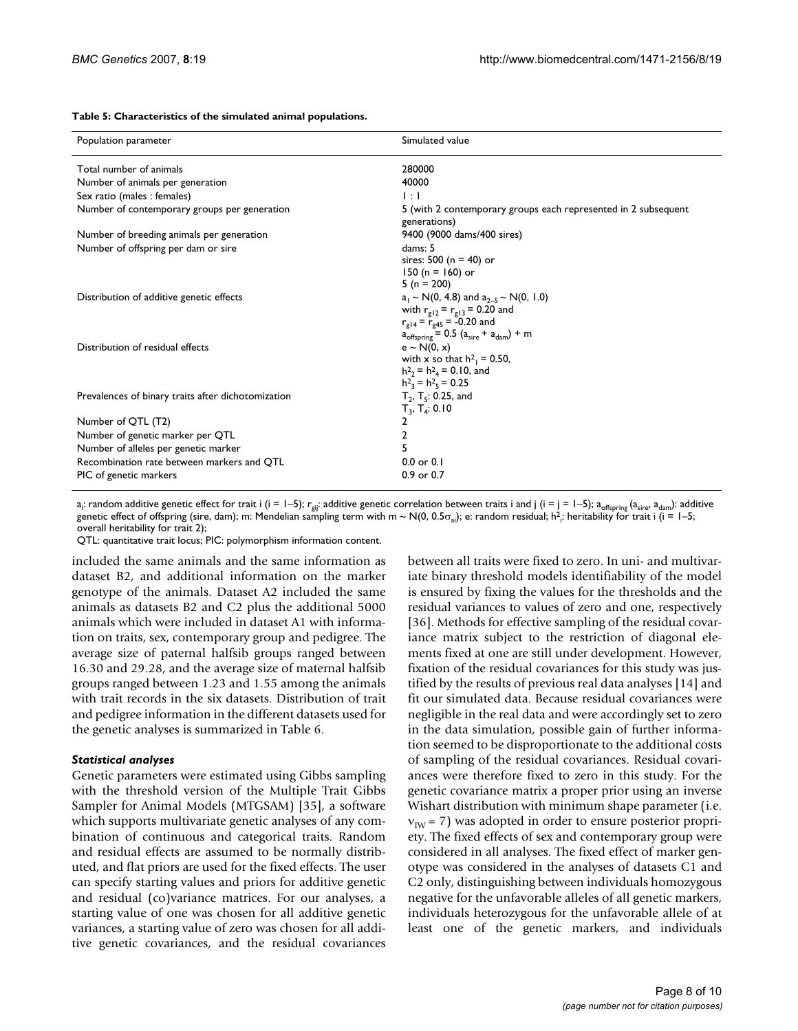| Population parameter                               | Simulated value                                                                                                                                                                                        |
|----------------------------------------------------|--------------------------------------------------------------------------------------------------------------------------------------------------------------------------------------------------------|
| Total number of animals                            | 280000                                                                                                                                                                                                 |
| Number of animals per generation                   | 40000                                                                                                                                                                                                  |
| Sex ratio (males : females)                        | $\pm$ : 1                                                                                                                                                                                              |
| Number of contemporary groups per generation       | 5 (with 2 contemporary groups each represented in 2 subsequent<br>generations)                                                                                                                         |
| Number of breeding animals per generation          | 9400 (9000 dams/400 sires)                                                                                                                                                                             |
| Number of offspring per dam or sire                | dams: 5<br>sires: $500 (n = 40)$ or<br>150 (n = 160) or<br>5 (n = 200)                                                                                                                                 |
| Distribution of additive genetic effects           | $a_1 \sim N(0, 4.8)$ and $a_{2-5} \sim N(0, 1.0)$<br>with $r_{g12} = r_{g13} = 0.20$ and<br>$r_{g14} = r_{g45} = 0.20$ and<br>a <sub>offspring</sub> = 0.5 (a <sub>sire</sub> + a <sub>dam</sub> ) + m |
| Distribution of residual effects                   | $e \sim N(0, x)$<br>with x so that $h^2$ <sub>1</sub> = 0.50,<br>$h^2$ <sub>2</sub> = $h^2$ <sub>4</sub> = 0.10, and<br>$h^2$ <sub>3</sub> = $h^2$ <sub>5</sub> = 0.25                                 |
| Prevalences of binary traits after dichotomization | $T_2$ , $T_5$ : 0.25, and<br>$T_3$ , $T_4$ : 0.10                                                                                                                                                      |
| Number of QTL (T2)                                 | 2                                                                                                                                                                                                      |
| Number of genetic marker per QTL                   | 2                                                                                                                                                                                                      |
| Number of alleles per genetic marker               | 5                                                                                                                                                                                                      |
| Recombination rate between markers and QTL         | $0.0$ or $0.1$                                                                                                                                                                                         |
| PIC of genetic markers                             | 0.9 or 0.7                                                                                                                                                                                             |

a<sub>i</sub>: random additive genetic effect for trait i (i = 1–5); r<sub>gij</sub>: additive genetic correlation between traits i and j (i = j = 1–5); a<sub>offspring</sub> (a<sub>sire</sub>, a<sub>dam</sub>): additive genetic effect of offspring (sire, dam); m: Mendelian sampling term with m ~  $N(0, 0.5\sigma_a)$ ; e: random residual; h $^2$ ; heritability for trait i (i = 1–5; overall heritability for trait 2);

QTL: quantitative trait locus; PIC: polymorphism information content.

included the same animals and the same information as dataset B2, and additional information on the marker genotype of the animals. Dataset A2 included the same animals as datasets B2 and C2 plus the additional 5000 animals which were included in dataset A1 with information on traits, sex, contemporary group and pedigree. The average size of paternal halfsib groups ranged between 16.30 and 29.28, and the average size of maternal halfsib groups ranged between 1.23 and 1.55 among the animals with trait records in the six datasets. Distribution of trait and pedigree information in the different datasets used for the genetic analyses is summarized in Table 6.

#### *Statistical analyses*

Genetic parameters were estimated using Gibbs sampling with the threshold version of the Multiple Trait Gibbs Sampler for Animal Models (MTGSAM) [35], a software which supports multivariate genetic analyses of any combination of continuous and categorical traits. Random and residual effects are assumed to be normally distributed, and flat priors are used for the fixed effects. The user can specify starting values and priors for additive genetic and residual (co)variance matrices. For our analyses, a starting value of one was chosen for all additive genetic variances, a starting value of zero was chosen for all additive genetic covariances, and the residual covariances

between all traits were fixed to zero. In uni- and multivariate binary threshold models identifiability of the model is ensured by fixing the values for the thresholds and the residual variances to values of zero and one, respectively [36]. Methods for effective sampling of the residual covariance matrix subject to the restriction of diagonal elements fixed at one are still under development. However, fixation of the residual covariances for this study was justified by the results of previous real data analyses [14] and fit our simulated data. Because residual covariances were negligible in the real data and were accordingly set to zero in the data simulation, possible gain of further information seemed to be disproportionate to the additional costs of sampling of the residual covariances. Residual covariances were therefore fixed to zero in this study. For the genetic covariance matrix a proper prior using an inverse Wishart distribution with minimum shape parameter (i.e.  $v_{\text{IW}}$  = 7) was adopted in order to ensure posterior propriety. The fixed effects of sex and contemporary group were considered in all analyses. The fixed effect of marker genotype was considered in the analyses of datasets C1 and C2 only, distinguishing between individuals homozygous negative for the unfavorable alleles of all genetic markers, individuals heterozygous for the unfavorable allele of at least one of the genetic markers, and individuals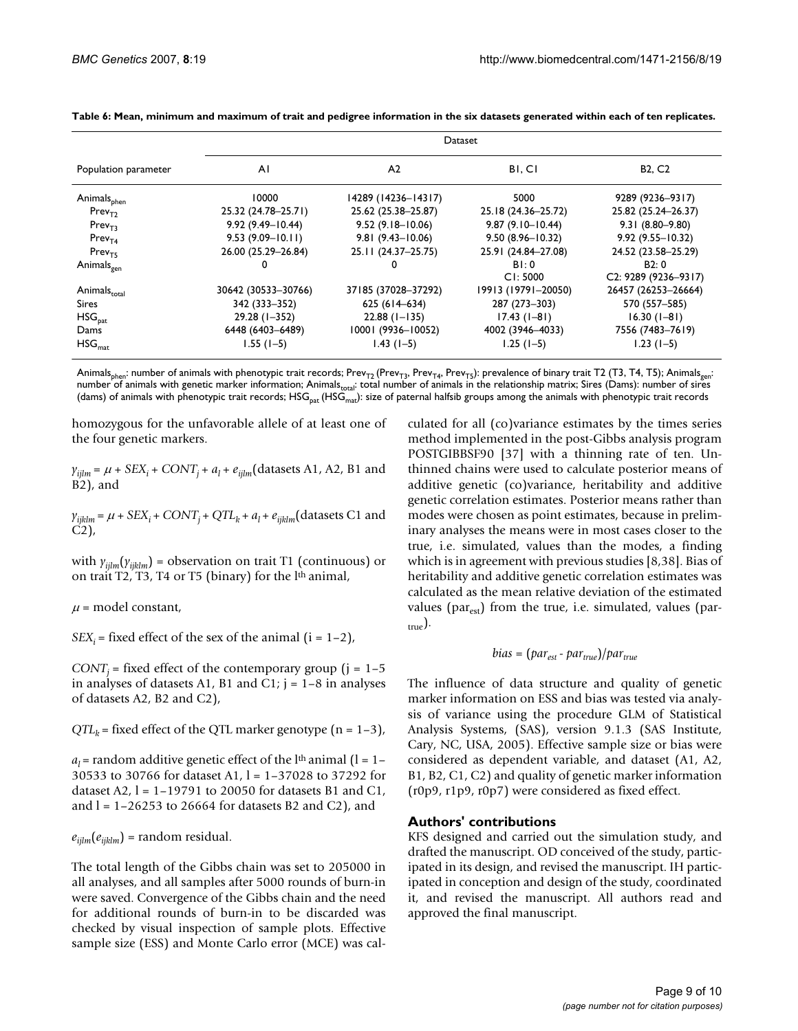|                          | Dataset              |                      |                      |                                  |  |  |
|--------------------------|----------------------|----------------------|----------------------|----------------------------------|--|--|
| Population parameter     | AI                   | A <sub>2</sub>       | BI.CI                | <b>B2. C2</b>                    |  |  |
| Animals <sub>phen</sub>  | 10000                | 14289 (14236–14317)  | 5000                 | 9289 (9236-9317)                 |  |  |
| $Prev_{T2}$              | 25.32 (24.78-25.71)  | 25.62 (25.38-25.87)  | 25.18 (24.36-25.72)  | 25.82 (25.24-26.37)              |  |  |
| $Prev_{T3}$              | $9.92(9.49 - 10.44)$ | $9.52(9.18 - 10.06)$ | $9.87(9.10 - 10.44)$ | $9.31(8.80 - 9.80)$              |  |  |
| $Prev_{\tau_4}$          | $9.53(9.09 - 10.11)$ | $9.81(9.43 - 10.06)$ | $9.50(8.96 - 10.32)$ | 9.92 (9.55-10.32)                |  |  |
| $Prev_{TS}$              | 26.00 (25.29-26.84)  | 25.11 (24.37-25.75)  | 25.91 (24.84-27.08)  | 24.52 (23.58-25.29)              |  |  |
| Animals $_{\text{gen}}$  | 0                    | 0                    | B1:0<br>CI: 5000     | B2:0<br>$C2: 9289 (9236 - 9317)$ |  |  |
| Animals <sub>total</sub> | 30642 (30533-30766)  | 37185 (37028-37292)  | 19913 (19791-20050)  | 26457 (26253-26664)              |  |  |
| Sires                    | 342 (333-352)        | 625 (614-634)        | 287 (273-303)        | 570 (557-585)                    |  |  |
| $HSG_{\text{pat}}$       | $29.28(1 - 352)$     | $22.88$ (1-135)      | $17.43$ ( $1 - 81$ ) | $16.30(1-81)$                    |  |  |
| Dams                     | 6448 (6403-6489)     | 10001 (9936-10052)   | 4002 (3946-4033)     | 7556 (7483-7619)                 |  |  |
| $HSG_{mat}$              | $1.55(1-5)$          | $1.43(1-5)$          | $1.25(1-5)$          | $1.23(1-5)$                      |  |  |

Animals<sub>phen</sub>: number of animals with phenotypic trait records; Prev<sub>T3</sub>, Prev<sub>T3</sub>, Prev<sub>T5</sub>): prevalence of binary trait T2 (T3, T4, T5); Animals<sub>gen</sub>: number of animals with genetic marker information; Animals<sub>total</sub>: total number of animals in the relationship matrix; Sires (Dams): number of sires (dams) of animals with phenotypic trait records; HSG<sub>pat</sub> (HSG<sub>mat</sub>): size of paternal halfsib groups among the animals with phenotypic trait records

homozygous for the unfavorable allele of at least one of the four genetic markers.

 $\gamma_{ijlm} = \mu + SEX_i + CONT_j + a_l + e_{ijlm}$ (datasets A1, A2, B1 and B2), and

 $\gamma_{ijklm} = \mu + SEX_i + CONT_j + QTL_k + a_l + e_{ijklm}$  (datasets C1 and C2),

with  $\gamma_{\text{film}}(\gamma_{\text{ijklm}})$  = observation on trait T1 (continuous) or on trait T2, T3, T4 or T5 (binary) for the l<sup>th</sup> animal,

 $\mu$  = model constant,

*SEX<sub>i</sub>* = fixed effect of the sex of the animal ( $i = 1-2$ ),

*CONT<sub>i</sub>* = fixed effect of the contemporary group ( $j = 1-5$ in analyses of datasets A1, B1 and C1;  $j = 1-8$  in analyses of datasets A2, B2 and C2),

 $QTL_k$  = fixed effect of the QTL marker genotype (n = 1-3),

 $a<sub>l</sub>$  = random additive genetic effect of the l<sup>th</sup> animal (l = 1– 30533 to 30766 for dataset A1, l = 1–37028 to 37292 for dataset A2,  $l = 1 - 19791$  to 20050 for datasets B1 and C1, and  $l = 1-26253$  to 26664 for datasets B2 and C2), and

 $e_{ijlm}(e_{ijklm})$  = random residual.

The total length of the Gibbs chain was set to 205000 in all analyses, and all samples after 5000 rounds of burn-in were saved. Convergence of the Gibbs chain and the need for additional rounds of burn-in to be discarded was checked by visual inspection of sample plots. Effective sample size (ESS) and Monte Carlo error (MCE) was calculated for all (co)variance estimates by the times series method implemented in the post-Gibbs analysis program POSTGIBBSF90 [37] with a thinning rate of ten. Unthinned chains were used to calculate posterior means of additive genetic (co)variance, heritability and additive genetic correlation estimates. Posterior means rather than modes were chosen as point estimates, because in preliminary analyses the means were in most cases closer to the true, i.e. simulated, values than the modes, a finding which is in agreement with previous studies [8,38]. Bias of heritability and additive genetic correlation estimates was calculated as the mean relative deviation of the estimated values ( $par_{est}$ ) from the true, i.e. simulated, values ( $par$ true).

$$
bias = (par_{est} - par_{true})/par_{true}
$$

The influence of data structure and quality of genetic marker information on ESS and bias was tested via analysis of variance using the procedure GLM of Statistical Analysis Systems, (SAS), version 9.1.3 (SAS Institute, Cary, NC, USA, 2005). Effective sample size or bias were considered as dependent variable, and dataset (A1, A2, B1, B2, C1, C2) and quality of genetic marker information (r0p9, r1p9, r0p7) were considered as fixed effect.

#### **Authors' contributions**

KFS designed and carried out the simulation study, and drafted the manuscript. OD conceived of the study, participated in its design, and revised the manuscript. IH participated in conception and design of the study, coordinated it, and revised the manuscript. All authors read and approved the final manuscript.